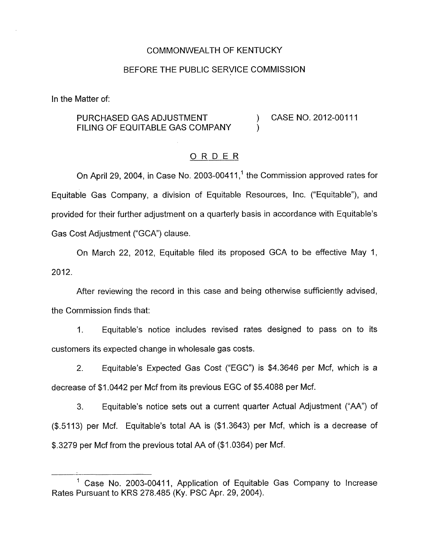## COMMONWEALTH OF KENTUCKY

#### BEFORE THE PUBLIC SERVICE COMMISSION

In the Matter of:

## PURCHASED GAS ADJUSTMENT (2012-00111 FILING OF EQUITABLE GAS COMPANY

### ORDER

On April 29, 2004, in Case No. 2003-00411,<sup>1</sup> the Commission approved rates for Equitable Gas Company, a division of Equitable Resources, Inc. ("Equitable"), and provided for their further adjustment on a quarterly basis in accordance with Equitable's Gas Cost Adjustment ("GCA") clause.

On March 22, 2012, Equitable filed its proposed GCA to be effective May 1, 2012.

After reviewing the record in this case and being otherwise sufficiently advised, the Commission finds that:

I. Equitable's notice includes revised rates designed to pass on to its customers its expected change in wholesale gas costs.

2. Equitable's Expected Gas Cost ("EGC") *is* \$4.3646 per Mcf, which *is* a decrease of \$1.0442 per Mcf from its previous EGC of \$5.4088 per Mcf.

3. Equitable's notice sets out a current quarter Actual Adjustment ("AA") of (\$.5113) per Mcf. Equitable's total AA is (\$1.3643) per Mcf, which is a decrease of \$.3279 per Mcf from the previous total AA of (\$1.0364) per Mcf.

<sup>&</sup>lt;sup>1</sup> Case No. 2003-00411, Application of Equitable Gas Company to Increase Rates Pursuant to KRS 278.485 (Ky. PSC Apr. 29, 2004).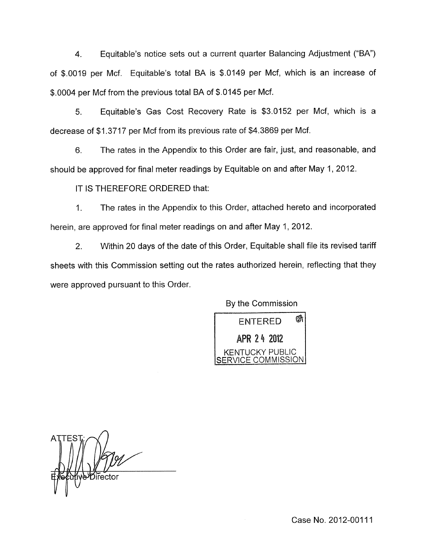4. Equitable's notice sets out a current quarter Balancing Adjustment (''BA") of \$.0019 per Mcf. Equitable's total BA is \$.0149 per Mcf, which is an increase of \$.0004 per Mcf from the previous total BA of \$.0145 per Mcf.

5. Equitable's Gas Cost Recovery Rate is \$3.0152 per Mcf, which is a decrease of \$1.3717 per Mcf from its previous rate of \$4.3869 per Mcf.

6. The rates in the Appendix to this Order are fair, just, and reasonable, and should be approved for final meter readings by Equitable on and after May 1, 2012.

IT IS THEREFORE ORDERED that:

1. The rates in the Appendix to this Order, attached hereto and incorporated herein, are approved for final meter readings on and after May 1, 2012.

2. Within 20 days of the date of this Order, Equitable shall file its revised tariff sheets with this Commission setting out the rates authorized herein, reflecting that they were approved pursuant to this Order.

By the Commission



**Jiřecto**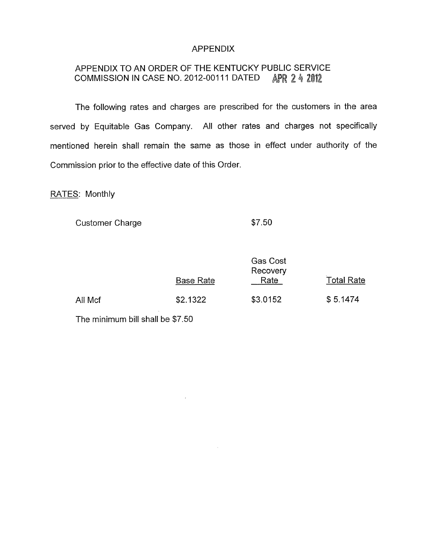## **APPENDIX**

# APPENDIX TO AN ORDER OF THE KENTUCKY PUBLIC SERVICE<br>COMMISSION IN CASE NO. 2012-00111 DATED APR 2 4 2012 COMMISSION IN CASE NO. 2012-00111 DATED

The following rates and charges are prescribed for the customers in the area served by Equitable Gas Company. All other rates and charges not specifically mentioned herein shall remain the same as those in effect under authority of the Commission prior to the effective date of this Order.

RATES: Monthly

Customer Charge

\$7.50

|         | <b>Base Rate</b> | <b>Gas Cost</b><br>Recovery<br>Rate | <b>Total Rate</b> |
|---------|------------------|-------------------------------------|-------------------|
| All Mcf | \$2.1322         | \$3.0152                            | \$5.1474          |

 $\epsilon$ 

The minimum bill shall be \$7.50